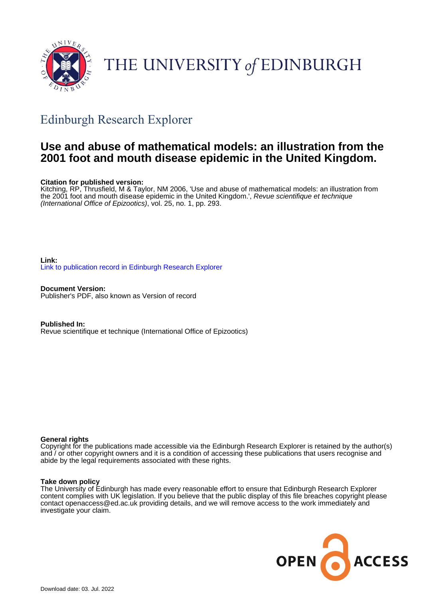

# THE UNIVERSITY of EDINBURGH

# Edinburgh Research Explorer

# **Use and abuse of mathematical models: an illustration from the 2001 foot and mouth disease epidemic in the United Kingdom.**

### **Citation for published version:**

Kitching, RP, Thrusfield, M & Taylor, NM 2006, 'Use and abuse of mathematical models: an illustration from the 2001 foot and mouth disease epidemic in the United Kingdom.', Revue scientifique et technique (International Office of Epizootics), vol. 25, no. 1, pp. 293.

**Link:** [Link to publication record in Edinburgh Research Explorer](https://www.research.ed.ac.uk/en/publications/e368e2d3-1161-4e6e-97c8-5e33d44a9fb3)

**Document Version:** Publisher's PDF, also known as Version of record

**Published In:** Revue scientifique et technique (International Office of Epizootics)

### **General rights**

Copyright for the publications made accessible via the Edinburgh Research Explorer is retained by the author(s) and / or other copyright owners and it is a condition of accessing these publications that users recognise and abide by the legal requirements associated with these rights.

### **Take down policy**

The University of Edinburgh has made every reasonable effort to ensure that Edinburgh Research Explorer content complies with UK legislation. If you believe that the public display of this file breaches copyright please contact openaccess@ed.ac.uk providing details, and we will remove access to the work immediately and investigate your claim.

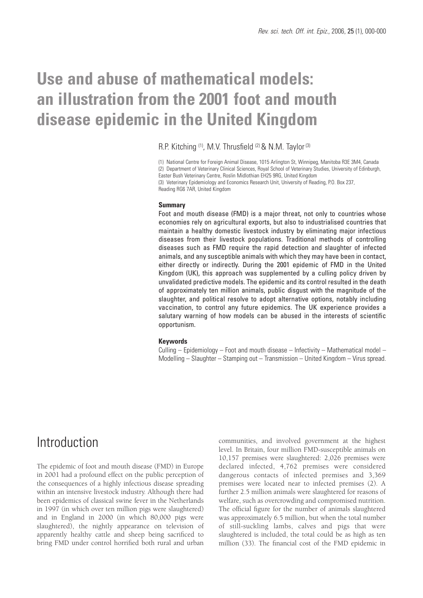# **Use and abuse of mathematical models: an illustration from the 2001 foot and mouth disease epidemic in the United Kingdom**

### R.P. Kitching (1), M.V. Thrusfield (2) & N.M. Taylor (3)

(1) National Centre for Foreign Animal Disease, 1015 Arlington St, Winnipeg, Manitoba R3E 3M4, Canada (2) Department of Veterinary Clinical Sciences, Royal School of Veterinary Studies, University of Edinburgh, Easter Bush Veterinary Centre, Roslin Midlothian EH25 9RG, United Kingdom (3) Veterinary Epidemiology and Economics Research Unit, University of Reading, P.O. Box 237, Reading RG6 7AR, United Kingdom

#### **Summary**

Foot and mouth disease (FMD) is a major threat, not only to countries whose economies rely on agricultural exports, but also to industrialised countries that maintain a healthy domestic livestock industry by eliminating major infectious diseases from their livestock populations. Traditional methods of controlling diseases such as FMD require the rapid detection and slaughter of infected animals, and any susceptible animals with which they may have been in contact, either directly or indirectly. During the 2001 epidemic of FMD in the United Kingdom (UK), this approach was supplemented by a culling policy driven by unvalidated predictive models. The epidemic and its control resulted in the death of approximately ten million animals, public disgust with the magnitude of the slaughter, and political resolve to adopt alternative options, notably including vaccination, to control any future epidemics. The UK experience provides a salutary warning of how models can be abused in the interests of scientific opportunism.

#### **Keywords**

Culling – Epidemiology – Foot and mouth disease – Infectivity – Mathematical model – Modelling – Slaughter – Stamping out – Transmission – United Kingdom – Virus spread.

# Introduction

The epidemic of foot and mouth disease (FMD) in Europe in 2001 had a profound effect on the public perception of the consequences of a highly infectious disease spreading within an intensive livestock industry. Although there had been epidemics of classical swine fever in the Netherlands in 1997 (in which over ten million pigs were slaughtered) and in England in 2000 (in which 80,000 pigs were slaughtered), the nightly appearance on television of apparently healthy cattle and sheep being sacrificed to bring FMD under control horrified both rural and urban communities, and involved government at the highest level. In Britain, four million FMD-susceptible animals on 10,157 premises were slaughtered: 2,026 premises were declared infected, 4,762 premises were considered dangerous contacts of infected premises and 3,369 premises were located near to infected premises (2). A further 2.5 million animals were slaughtered for reasons of welfare, such as overcrowding and compromised nutrition. The official figure for the number of animals slaughtered was approximately 6.5 million, but when the total number of still-suckling lambs, calves and pigs that were slaughtered is included, the total could be as high as ten million (33). The financial cost of the FMD epidemic in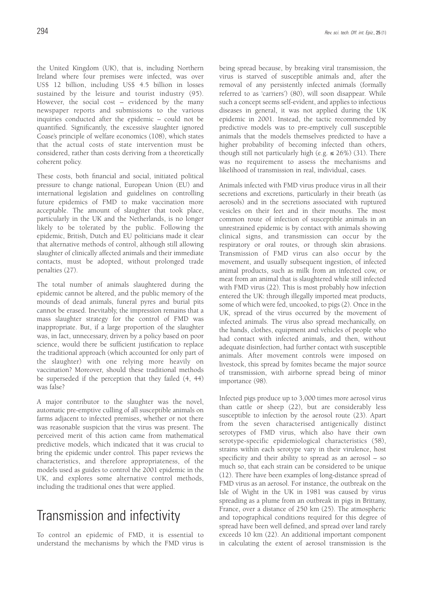the United Kingdom (UK), that is, including Northern Ireland where four premises were infected, was over US\$ 12 billion, including US\$ 4.5 billion in losses sustained by the leisure and tourist industry (95). However, the social cost – evidenced by the many newspaper reports and submissions to the various inquiries conducted after the epidemic – could not be quantified. Significantly, the excessive slaughter ignored Coase's principle of welfare economics (108), which states that the actual costs of state intervention must be considered, rather than costs deriving from a theoretically coherent policy.

These costs, both financial and social, initiated political pressure to change national, European Union (EU) and international legislation and guidelines on controlling future epidemics of FMD to make vaccination more acceptable. The amount of slaughter that took place, particularly in the UK and the Netherlands, is no longer likely to be tolerated by the public. Following the epidemic, British, Dutch and EU politicians made it clear that alternative methods of control, although still allowing slaughter of clinically affected animals and their immediate contacts, must be adopted, without prolonged trade penalties (27).

The total number of animals slaughtered during the epidemic cannot be altered, and the public memory of the mounds of dead animals, funeral pyres and burial pits cannot be erased. Inevitably, the impression remains that a mass slaughter strategy for the control of FMD was inappropriate. But, if a large proportion of the slaughter was, in fact, unnecessary, driven by a policy based on poor science, would there be sufficient justification to replace the traditional approach (which accounted for only part of the slaughter) with one relying more heavily on vaccination? Moreover, should these traditional methods be superseded if the perception that they failed (4, 44) was false?

A major contributor to the slaughter was the novel, automatic pre-emptive culling of all susceptible animals on farms adjacent to infected premises, whether or not there was reasonable suspicion that the virus was present. The perceived merit of this action came from mathematical predictive models, which indicated that it was crucial to bring the epidemic under control. This paper reviews the characteristics, and therefore appropriateness, of the models used as guides to control the 2001 epidemic in the UK, and explores some alternative control methods, including the traditional ones that were applied.

# Transmission and infectivity

To control an epidemic of FMD, it is essential to understand the mechanisms by which the FMD virus is being spread because, by breaking viral transmission, the virus is starved of susceptible animals and, after the removal of any persistently infected animals (formally referred to as 'carriers') (80), will soon disappear. While such a concept seems self-evident, and applies to infectious diseases in general, it was not applied during the UK epidemic in 2001. Instead, the tactic recommended by predictive models was to pre-emptively cull susceptible animals that the models themselves predicted to have a higher probability of becoming infected than others, though still not particularly high (e.g.  $\leq$  26%) (31). There was no requirement to assess the mechanisms and likelihood of transmission in real, individual, cases.

Animals infected with FMD virus produce virus in all their secretions and excretions, particularly in their breath (as aerosols) and in the secretions associated with ruptured vesicles on their feet and in their mouths. The most common route of infection of susceptible animals in an unrestrained epidemic is by contact with animals showing clinical signs, and transmission can occur by the respiratory or oral routes, or through skin abrasions. Transmission of FMD virus can also occur by the movement, and usually subsequent ingestion, of infected animal products, such as milk from an infected cow, or meat from an animal that is slaughtered while still infected with FMD virus (22). This is most probably how infection entered the UK: through illegally imported meat products, some of which were fed, uncooked, to pigs (2). Once in the UK, spread of the virus occurred by the movement of infected animals. The virus also spread mechanically, on the hands, clothes, equipment and vehicles of people who had contact with infected animals, and then, without adequate disinfection, had further contact with susceptible animals. After movement controls were imposed on livestock, this spread by fomites became the major source of transmission, with airborne spread being of minor importance (98).

Infected pigs produce up to 3,000 times more aerosol virus than cattle or sheep (22), but are considerably less susceptible to infection by the aerosol route (23). Apart from the seven characterised antigenically distinct serotypes of FMD virus, which also have their own serotype-specific epidemiological characteristics (58), strains within each serotype vary in their virulence, host specificity and their ability to spread as an aerosol – so much so, that each strain can be considered to be unique (12). There have been examples of long-distance spread of FMD virus as an aerosol. For instance, the outbreak on the Isle of Wight in the UK in 1981 was caused by virus spreading as a plume from an outbreak in pigs in Brittany, France, over a distance of 250 km (25). The atmospheric and topographical conditions required for this degree of spread have been well defined, and spread over land rarely exceeds 10 km (22). An additional important component in calculating the extent of aerosol transmission is the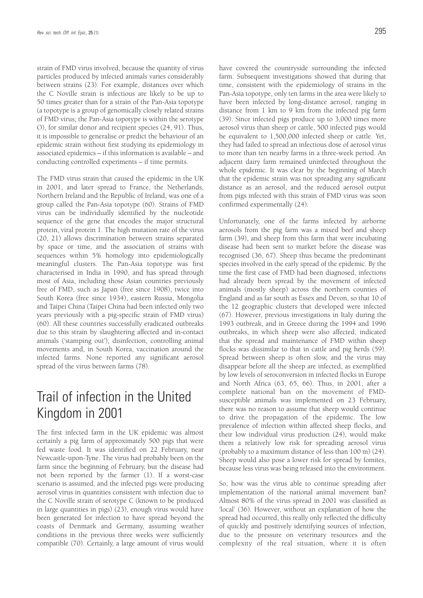strain of FMD virus involved, because the quantity of virus particles produced by infected animals varies considerably between strains (23). For example, distances over which the C Noville strain is infectious are likely to be up to 50 times greater than for a strain of the Pan-Asia topotype (a topotype is a group of genomically closely related strains of FMD virus; the Pan-Asia topotype is within the serotype O), for similar donor and recipient species (24, 91). Thus, it is impossible to generalise or predict the behaviour of an epidemic strain without first studying its epidemiology in associated epidemics – if this information is available – and conducting controlled experiments – if time permits.

The FMD virus strain that caused the epidemic in the UK in 2001, and later spread to France, the Netherlands, Northern Ireland and the Republic of Ireland, was one of a group called the Pan-Asia topotype (60). Strains of FMD virus can be individually identified by the nucleotide sequence of the gene that encodes the major structural protein, viral protein 1. The high mutation rate of the virus (20, 21) allows discrimination between strains separated by space or time, and the association of strains with sequences within 5% homology into epidemiologically meaningful clusters. The Pan-Asia topotype was first characterised in India in 1990, and has spread through most of Asia, including those Asian countries previously free of FMD, such as Japan (free since 1908), twice into South Korea (free since 1934), eastern Russia, Mongolia and Taipei China (Taipei China had been infected only two years previously with a pig-specific strain of FMD virus) (60). All these countries successfully eradicated outbreaks due to this strain by slaughtering affected and in-contact animals ('stamping out'), disinfection, controlling animal movements and, in South Korea, vaccination around the infected farms. None reported any significant aerosol spread of the virus between farms (78).

# Trail of infection in the United Kingdom in 2001

The first infected farm in the UK epidemic was almost certainly a pig farm of approximately 500 pigs that were fed waste food. It was identified on 22 February, near Newcastle-upon-Tyne. The virus had probably been on the farm since the beginning of February, but the disease had not been reported by the farmer (1). If a worst-case scenario is assumed, and the infected pigs were producing aerosol virus in quantities consistent with infection due to the C Noville strain of serotype C (known to be produced in large quantities in pigs) (23), enough virus would have been generated for infection to have spread beyond the coasts of Denmark and Germany, assuming weather conditions in the previous three weeks were sufficiently compatible (70). Certainly, a large amount of virus would have covered the countryside surrounding the infected farm. Subsequent investigations showed that during that time, consistent with the epidemiology of strains in the Pan-Asia topotype, only ten farms in the area were likely to have been infected by long-distance aerosol, ranging in distance from 1 km to 9 km from the infected pig farm (39). Since infected pigs produce up to 3,000 times more aerosol virus than sheep or cattle, 500 infected pigs would be equivalent to 1,500,000 infected sheep or cattle. Yet, they had failed to spread an infectious dose of aerosol virus to more than ten nearby farms in a three-week period. An adjacent dairy farm remained uninfected throughout the whole epidemic. It was clear by the beginning of March that the epidemic strain was not spreading any significant distance as an aerosol, and the reduced aerosol output from pigs infected with this strain of FMD virus was soon confirmed experimentally (24).

Unfortunately, one of the farms infected by airborne aerosols from the pig farm was a mixed beef and sheep farm (39), and sheep from this farm that were incubating disease had been sent to market before the disease was recognised (36, 67). Sheep thus became the predominant species involved in the early spread of the epidemic. By the time the first case of FMD had been diagnosed, infections had already been spread by the movement of infected animals (mostly sheep) across the northern counties of England and as far south as Essex and Devon, so that 10 of the 12 geographic clusters that developed were infected (67). However, previous investigations in Italy during the 1993 outbreak, and in Greece during the 1994 and 1996 outbreaks, in which sheep were also affected, indicated that the spread and maintenance of FMD within sheep flocks was dissimilar to that in cattle and pig herds (59). Spread between sheep is often slow, and the virus may disappear before all the sheep are infected, as exemplified by low levels of seroconversion in infected flocks in Europe and North Africa (63, 65, 66). Thus, in 2001, after a complete national ban on the movement of FMDsusceptible animals was implemented on 23 February, there was no reason to assume that sheep would continue to drive the propagation of the epidemic. The low prevalence of infection within affected sheep flocks, and their low individual virus production (24), would make them a relatively low risk for spreading aerosol virus (probably to a maximum distance of less than 100 m) (24). Sheep would also pose a lower risk for spread by fomites, because less virus was being released into the environment.

So, how was the virus able to continue spreading after implementation of the national animal movement ban? Almost 80% of the virus spread in 2001 was classified as 'local' (36). However, without an explanation of how the spread had occurred, this really only reflected the difficulty of quickly and positively identifying sources of infection, due to the pressure on veterinary resources and the complexity of the real situation, where it is often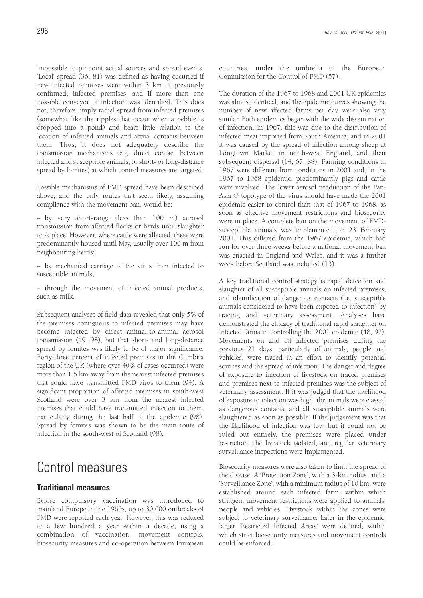impossible to pinpoint actual sources and spread events. 'Local' spread (36, 81) was defined as having occurred if new infected premises were within 3 km of previously confirmed, infected premises, and if more than one possible conveyor of infection was identified. This does not, therefore, imply radial spread from infected premises (somewhat like the ripples that occur when a pebble is dropped into a pond) and bears little relation to the location of infected animals and actual contacts between them. Thus, it does not adequately describe the transmission mechanisms (e.g. direct contact between infected and susceptible animals, or short- or long-distance spread by fomites) at which control measures are targeted.

Possible mechanisms of FMD spread have been described above, and the only routes that seem likely, assuming compliance with the movement ban, would be:

– by very short-range (less than 100 m) aerosol transmission from affected flocks or herds until slaughter took place. However, where cattle were affected, these were predominantly housed until May, usually over 100 m from neighbouring herds;

– by mechanical carriage of the virus from infected to susceptible animals;

– through the movement of infected animal products, such as milk.

Subsequent analyses of field data revealed that only 5% of the premises contiguous to infected premises may have become infected by direct animal-to-animal aerosol transmission (49, 98), but that short- and long-distance spread by fomites was likely to be of major significance. Forty-three percent of infected premises in the Cumbria region of the UK (where over 40% of cases occurred) were more than 1.5 km away from the nearest infected premises that could have transmitted FMD virus to them (94). A significant proportion of affected premises in south-west Scotland were over 3 km from the nearest infected premises that could have transmitted infection to them, particularly during the last half of the epidemic (98). Spread by fomites was shown to be the main route of infection in the south-west of Scotland (98).

# Control measures

# **Traditional measures**

Before compulsory vaccination was introduced to mainland Europe in the 1960s, up to 30,000 outbreaks of FMD were reported each year. However, this was reduced to a few hundred a year within a decade, using a combination of vaccination, movement controls, biosecurity measures and co-operation between European countries, under the umbrella of the European Commission for the Control of FMD (57).

The duration of the 1967 to 1968 and 2001 UK epidemics was almost identical, and the epidemic curves showing the number of new affected farms per day were also very similar. Both epidemics began with the wide dissemination of infection. In 1967, this was due to the distribution of infected meat imported from South America, and in 2001 it was caused by the spread of infection among sheep at Longtown Market in north-west England, and their subsequent dispersal (14, 67, 88). Farming conditions in 1967 were different from conditions in 2001 and, in the 1967 to 1968 epidemic, predominantly pigs and cattle were involved. The lower aerosol production of the Pan-Asia O topotype of the virus should have made the 2001 epidemic easier to control than that of 1967 to 1968, as soon as effective movement restrictions and biosecurity were in place. A complete ban on the movement of FMDsusceptible animals was implemented on 23 February 2001. This differed from the 1967 epidemic, which had run for over three weeks before a national movement ban was enacted in England and Wales, and it was a further week before Scotland was included (13).

A key traditional control strategy is rapid detection and slaughter of all susceptible animals on infected premises, and identification of dangerous contacts (i.e. susceptible animals considered to have been exposed to infection) by tracing and veterinary assessment. Analyses have demonstrated the efficacy of traditional rapid slaughter on infected farms in controlling the 2001 epidemic (48, 97). Movements on and off infected premises during the previous 21 days, particularly of animals, people and vehicles, were traced in an effort to identify potential sources and the spread of infection. The danger and degree of exposure to infection of livestock on traced premises and premises next to infected premises was the subject of veterinary assessment. If it was judged that the likelihood of exposure to infection was high, the animals were classed as dangerous contacts, and all susceptible animals were slaughtered as soon as possible. If the judgement was that the likelihood of infection was low, but it could not be ruled out entirely, the premises were placed under restriction, the livestock isolated, and regular veterinary surveillance inspections were implemented.

Biosecurity measures were also taken to limit the spread of the disease. A 'Protection Zone', with a 3-km radius, and a 'Surveillance Zone', with a minimum radius of 10 km, were established around each infected farm, within which stringent movement restrictions were applied to animals, people and vehicles. Livestock within the zones were subject to veterinary surveillance. Later in the epidemic, larger 'Restricted Infected Areas' were defined, within which strict biosecurity measures and movement controls could be enforced.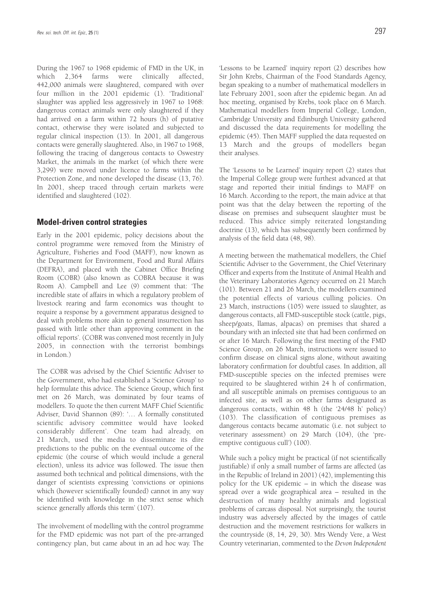During the 1967 to 1968 epidemic of FMD in the UK, in which 2,364 farms were clinically affected, 442,000 animals were slaughtered, compared with over four million in the 2001 epidemic (1). 'Traditional' slaughter was applied less aggressively in 1967 to 1968: dangerous contact animals were only slaughtered if they had arrived on a farm within 72 hours (h) of putative contact, otherwise they were isolated and subjected to regular clinical inspection (13). In 2001, all dangerous contacts were generally slaughtered. Also, in 1967 to 1968, following the tracing of dangerous contacts to Oswestry Market, the animals in the market (of which there were 3,299) were moved under licence to farms within the Protection Zone, and none developed the disease (13, 76). In 2001, sheep traced through certain markets were identified and slaughtered (102).

### **Model-driven control strategies**

Early in the 2001 epidemic, policy decisions about the control programme were removed from the Ministry of Agriculture, Fisheries and Food (MAFF), now known as the Department for Environment, Food and Rural Affairs (DEFRA), and placed with the Cabinet Office Briefing Room (COBR) (also known as COBRA because it was Room A). Campbell and Lee (9) comment that: 'The incredible state of affairs in which a regulatory problem of livestock rearing and farm economics was thought to require a response by a government apparatus designed to deal with problems more akin to general insurrection has passed with little other than approving comment in the official reports'. (COBR was convened most recently in July 2005, in connection with the terrorist bombings in London.)

The COBR was advised by the Chief Scientific Adviser to the Government, who had established a 'Science Group' to help formulate this advice. The Science Group, which first met on 26 March, was dominated by four teams of modellers. To quote the then current MAFF Chief Scientific Adviser, David Shannon (89): '… A formally constituted scientific advisory committee would have looked considerably different'. One team had already, on 21 March, used the media to disseminate its dire predictions to the public on the eventual outcome of the epidemic (the course of which would include a general election), unless its advice was followed. The issue then assumed both technical and political dimensions, with the danger of scientists expressing 'convictions or opinions which (however scientifically founded) cannot in any way be identified with knowledge in the strict sense which science generally affords this term' (107).

The involvement of modelling with the control programme for the FMD epidemic was not part of the pre-arranged contingency plan, but came about in an ad hoc way. The 'Lessons to be Learned' inquiry report (2) describes how Sir John Krebs, Chairman of the Food Standards Agency, began speaking to a number of mathematical modellers in late February 2001, soon after the epidemic began. An ad hoc meeting, organised by Krebs, took place on 6 March. Mathematical modellers from Imperial College, London, Cambridge University and Edinburgh University gathered and discussed the data requirements for modelling the epidemic (45). Then MAFF supplied the data requested on 13 March and the groups of modellers began

The 'Lessons to be Learned' inquiry report (2) states that the Imperial College group were furthest advanced at that stage and reported their initial findings to MAFF on 16 March. According to the report, the main advice at that point was that the delay between the reporting of the disease on premises and subsequent slaughter must be reduced. This advice simply reiterated longstanding doctrine (13), which has subsequently been confirmed by analysis of the field data (48, 98).

their analyses.

A meeting between the mathematical modellers, the Chief Scientific Adviser to the Government, the Chief Veterinary Officer and experts from the Institute of Animal Health and the Veterinary Laboratories Agency occurred on 21 March (101). Between 21 and 26 March, the modellers examined the potential effects of various culling policies. On 23 March, instructions (105) were issued to slaughter, as dangerous contacts, all FMD-susceptible stock (cattle, pigs, sheep/goats, llamas, alpacas) on premises that shared a boundary with an infected site that had been confirmed on or after 16 March. Following the first meeting of the FMD Science Group, on 26 March, instructions were issued to confirm disease on clinical signs alone, without awaiting laboratory confirmation for doubtful cases. In addition, all FMD-susceptible species on the infected premises were required to be slaughtered within 24 h of confirmation, and all susceptible animals on premises contiguous to an infected site, as well as on other farms designated as dangerous contacts, within 48 h (the '24/48 h' policy) (103). The classification of contiguous premises as dangerous contacts became automatic (i.e. not subject to veterinary assessment) on 29 March (104), (the 'preemptive contiguous cull') (100).

While such a policy might be practical (if not scientifically justifiable) if only a small number of farms are affected (as in the Republic of Ireland in 2001) (42), implementing this policy for the UK epidemic – in which the disease was spread over a wide geographical area – resulted in the destruction of many healthy animals and logistical problems of carcass disposal. Not surprisingly, the tourist industry was adversely affected by the images of cattle destruction and the movement restrictions for walkers in the countryside (8, 14, 29, 30). Mrs Wendy Vere, a West Country veterinarian, commented to the *Devon Independent*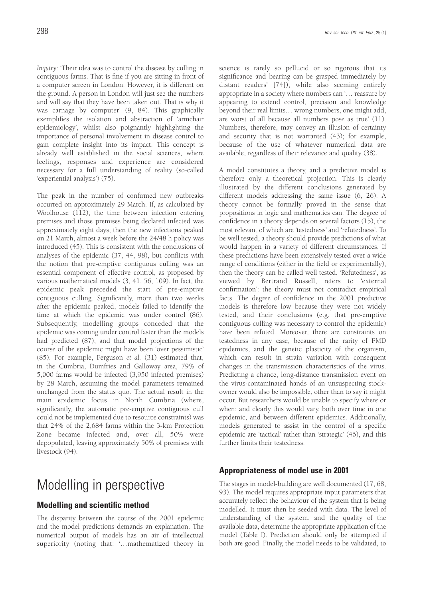*Inquiry*: 'Their idea was to control the disease by culling in contiguous farms. That is fine if you are sitting in front of a computer screen in London. However, it is different on the ground. A person in London will just see the numbers and will say that they have been taken out. That is why it was carnage by computer' (9, 84). This graphically exemplifies the isolation and abstraction of 'armchair epidemiology', whilst also poignantly highlighting the importance of personal involvement in disease control to gain complete insight into its impact. This concept is already well established in the social sciences, where feelings, responses and experience are considered necessary for a full understanding of reality (so-called 'experiential analysis') (75).

The peak in the number of confirmed new outbreaks occurred on approximately 29 March. If, as calculated by Woolhouse (112), the time between infection entering premises and those premises being declared infected was approximately eight days, then the new infections peaked on 21 March, almost a week before the 24/48 h policy was introduced (45). This is consistent with the conclusions of analyses of the epidemic (37, 44, 98), but conflicts with the notion that pre-emptive contiguous culling was an essential component of effective control, as proposed by various mathematical models (3, 41, 56, 109). In fact, the epidemic peak preceded the start of pre-emptive contiguous culling. Significantly, more than two weeks after the epidemic peaked, models failed to identify the time at which the epidemic was under control (86). Subsequently, modelling groups conceded that the epidemic was coming under control faster than the models had predicted (87), and that model projections of the course of the epidemic might have been 'over pessimistic' (85). For example, Ferguson *et al.* (31) estimated that, in the Cumbria, Dumfries and Galloway area, 79% of 5,000 farms would be infected (3,950 infected premises) by 28 March, assuming the model parameters remained unchanged from the status quo. The actual result in the main epidemic focus in North Cumbria (where, significantly, the automatic pre-emptive contiguous cull could not be implemented due to resource constraints) was that 24% of the 2,684 farms within the 3-km Protection Zone became infected and, over all, 50% were depopulated, leaving approximately 50% of premises with livestock (94).

# Modelling in perspective

# **Modelling and scientific method**

The disparity between the course of the 2001 epidemic and the model predictions demands an explanation. The numerical output of models has an air of intellectual superiority (noting that: '…mathematized theory in science is rarely so pellucid or so rigorous that its significance and bearing can be grasped immediately by distant readers' [74]), while also seeming entirely appropriate in a society where numbers can '… reassure by appearing to extend control, precision and knowledge beyond their real limits… wrong numbers, one might add, are worst of all because all numbers pose as true' (11). Numbers, therefore, may convey an illusion of certainty and security that is not warranted (43); for example, because of the use of whatever numerical data are available, regardless of their relevance and quality (38).

A model constitutes a theory, and a predictive model is therefore only a theoretical projection. This is clearly illustrated by the different conclusions generated by different models addressing the same issue (6, 26). A theory cannot be formally proved in the sense that propositions in logic and mathematics can. The degree of confidence in a theory depends on several factors (15), the most relevant of which are 'testedness' and 'refutedness'. To be well tested, a theory should provide predictions of what would happen in a variety of different circumstances. If these predictions have been extensively tested over a wide range of conditions (either in the field or experimentally), then the theory can be called well tested. 'Refutedness', as viewed by Bertrand Russell, refers to 'external confirmation': the theory must not contradict empirical facts. The degree of confidence in the 2001 predictive models is therefore low because they were not widely tested, and their conclusions (e.g. that pre-emptive contiguous culling was necessary to control the epidemic) have been refuted. Moreover, there are constraints on testedness in any case, because of the rarity of FMD epidemics, and the genetic plasticity of the organism, which can result in strain variation with consequent changes in the transmission characteristics of the virus. Predicting a chance, long-distance transmission event on the virus-contaminated hands of an unsuspecting stockowner would also be impossible, other than to say it might occur. But researchers would be unable to specify where or when; and clearly this would vary, both over time in one epidemic, and between different epidemics. Additionally, models generated to assist in the control of a specific epidemic are 'tactical' rather than 'strategic' (46), and this further limits their testedness.

# **Appropriateness of model use in 2001**

The stages in model-building are well documented (17, 68, 93). The model requires appropriate input parameters that accurately reflect the behaviour of the system that is being modelled. It must then be seeded with data. The level of understanding of the system, and the quality of the available data, determine the appropriate application of the model (Table I). Prediction should only be attempted if both are good. Finally, the model needs to be validated, to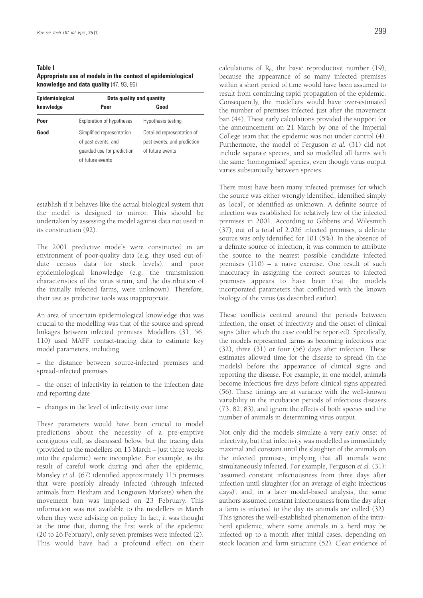### **Table I Appropriate use of models in the context of epidemiological knowledge and data quality** (47, 93, 96)

| Epidemiological | Data quality and quantity                                                                          |                                                                               |
|-----------------|----------------------------------------------------------------------------------------------------|-------------------------------------------------------------------------------|
| knowledge       | Poor                                                                                               | Good                                                                          |
| Poor            | Exploration of hypotheses                                                                          | Hypothesis testing                                                            |
| Good            | Simplified representation<br>of past events, and<br>quarded use for prediction<br>of future events | Detailed representation of<br>past events, and prediction<br>of future events |

establish if it behaves like the actual biological system that the model is designed to mirror. This should be undertaken by assessing the model against data not used in its construction (92).

The 2001 predictive models were constructed in an environment of poor-quality data (e.g. they used out-ofdate census data for stock levels), and poor epidemiological knowledge (e.g. the transmission characteristics of the virus strain, and the distribution of the initially infected farms, were unknown). Therefore, their use as predictive tools was inappropriate.

An area of uncertain epidemiological knowledge that was crucial to the modelling was that of the source and spread linkages between infected premises. Modellers (31, 56, 110) used MAFF contact-tracing data to estimate key model parameters, including:

- the distance between source-infected premises and spread-infected premises
- the onset of infectivity in relation to the infection date and reporting date
- changes in the level of infectivity over time.

These parameters would have been crucial to model predictions about the necessity of a pre-emptive contiguous cull, as discussed below, but the tracing data (provided to the modellers on 13 March – just three weeks into the epidemic) were incomplete. For example, as the result of careful work during and after the epidemic, Mansley *et al.* (67) identified approximately 115 premises that were possibly already infected (through infected animals from Hexham and Longtown Markets) when the movement ban was imposed on 23 February. This information was not available to the modellers in March when they were advising on policy. In fact, it was thought at the time that, during the first week of the epidemic (20 to 26 February), only seven premises were infected (2). This would have had a profound effect on their

calculations of  $R_0$ , the basic reproductive number (19), because the appearance of so many infected premises within a short period of time would have been assumed to result from continuing rapid propagation of the epidemic. Consequently, the modellers would have over-estimated the number of premises infected just after the movement ban (44). These early calculations provided the support for the announcement on 21 March by one of the Imperial College team that the epidemic was not under control (4). Furthermore, the model of Ferguson *et al.* (31) did not include separate species, and so modelled all farms with the same 'homogenised' species, even though virus output varies substantially between species.

There must have been many infected premises for which the source was either wrongly identified, identified simply as 'local', or identified as unknown. A definite source of infection was established for relatively few of the infected premises in 2001. According to Gibbens and Wilesmith (37), out of a total of 2,026 infected premises, a definite source was only identified for 101 (5%). In the absence of a definite source of infection, it was common to attribute the source to the nearest possible candidate infected premises (110) – a naïve exercise. One result of such inaccuracy in assigning the correct sources to infected premises appears to have been that the models incorporated parameters that conflicted with the known biology of the virus (as described earlier).

These conflicts centred around the periods between infection, the onset of infectivity and the onset of clinical signs (after which the case could be reported). Specifically, the models represented farms as becoming infectious one (32), three (31) or four (56) days after infection. These estimates allowed time for the disease to spread (in the models) before the appearance of clinical signs and reporting the disease. For example, in one model, animals become infectious five days before clinical signs appeared (56). These timings are at variance with the well-known variability in the incubation periods of infectious diseases (73, 82, 83), and ignore the effects of both species and the number of animals in determining virus output.

Not only did the models simulate a very early onset of infectivity, but that infectivity was modelled as immediately maximal and constant until the slaughter of the animals on the infected premises, implying that all animals were simultaneously infected. For example, Ferguson *et al.* (31): 'assumed constant infectiousness from three days after infection until slaughter (for an average of eight infectious days)', and, in a later model-based analysis, the same authors assumed constant infectiousness from the day after a farm is infected to the day its animals are culled (32). This ignores the well-established phenomenon of the intraherd epidemic, where some animals in a herd may be infected up to a month after initial cases, depending on stock location and farm structure (52). Clear evidence of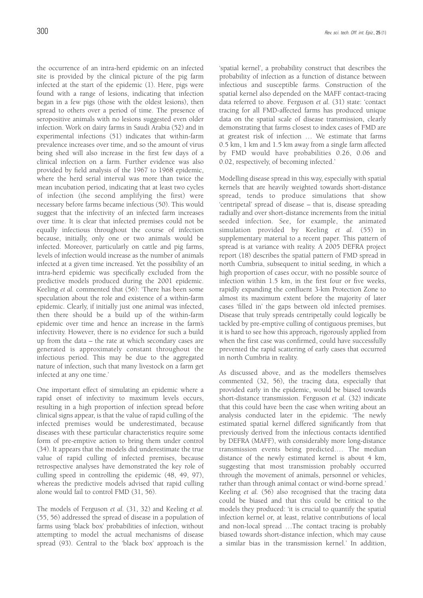the occurrence of an intra-herd epidemic on an infected site is provided by the clinical picture of the pig farm infected at the start of the epidemic (1). Here, pigs were found with a range of lesions, indicating that infection began in a few pigs (those with the oldest lesions), then spread to others over a period of time. The presence of seropositive animals with no lesions suggested even older infection. Work on dairy farms in Saudi Arabia (52) and in experimental infections (51) indicates that within-farm prevalence increases over time, and so the amount of virus being shed will also increase in the first few days of a clinical infection on a farm. Further evidence was also provided by field analysis of the 1967 to 1968 epidemic, where the herd serial interval was more than twice the mean incubation period, indicating that at least two cycles of infection (the second amplifying the first) were necessary before farms became infectious (50). This would suggest that the infectivity of an infected farm increases over time. It is clear that infected premises could not be equally infectious throughout the course of infection because, initially, only one or two animals would be infected. Moreover, particularly on cattle and pig farms, levels of infection would increase as the number of animals infected at a given time increased. Yet the possibility of an intra-herd epidemic was specifically excluded from the predictive models produced during the 2001 epidemic. Keeling *et al.* commented that (56): 'There has been some speculation about the role and existence of a within-farm epidemic. Clearly, if initially just one animal was infected, then there should be a build up of the within-farm epidemic over time and hence an increase in the farm's infectivity. However, there is no evidence for such a build up from the data – the rate at which secondary cases are generated is approximately constant throughout the infectious period. This may be due to the aggregated nature of infection, such that many livestock on a farm get infected at any one time.'

One important effect of simulating an epidemic where a rapid onset of infectivity to maximum levels occurs, resulting in a high proportion of infection spread before clinical signs appear, is that the value of rapid culling of the infected premises would be underestimated, because diseases with these particular characteristics require some form of pre-emptive action to bring them under control (34). It appears that the models did underestimate the true value of rapid culling of infected premises, because retrospective analyses have demonstrated the key role of culling speed in controlling the epidemic (48, 49, 97), whereas the predictive models advised that rapid culling alone would fail to control FMD (31, 56).

The models of Ferguson *et al.* (31, 32) and Keeling *et al.* (55, 56) addressed the spread of disease in a population of farms using 'black box' probabilities of infection, without attempting to model the actual mechanisms of disease spread (93). Central to the 'black box' approach is the

'spatial kernel', a probability construct that describes the probability of infection as a function of distance between infectious and susceptible farms. Construction of the spatial kernel also depended on the MAFF contact-tracing data referred to above. Ferguson *et al.* (31) state: 'contact tracing for all FMD-affected farms has produced unique data on the spatial scale of disease transmission, clearly demonstrating that farms closest to index cases of FMD are at greatest risk of infection … We estimate that farms 0.5 km, 1 km and 1.5 km away from a single farm affected by FMD would have probabilities 0.26, 0.06 and 0.02, respectively, of becoming infected.'

Modelling disease spread in this way, especially with spatial kernels that are heavily weighted towards short-distance spread, tends to produce simulations that show 'centripetal' spread of disease – that is, disease spreading radially and over short-distance increments from the initial seeded infection. See, for example, the animated simulation provided by Keeling *et al.* (55) in supplementary material to a recent paper. This pattern of spread is at variance with reality. A 2005 DEFRA project report (18) describes the spatial pattern of FMD spread in north Cumbria, subsequent to initial seeding, in which a high proportion of cases occur, with no possible source of infection within 1.5 km, in the first four or five weeks, rapidly expanding the confluent 3-km Protection Zone to almost its maximum extent before the majority of later cases 'filled in' the gaps between old infected premises. Disease that truly spreads centripetally could logically be tackled by pre-emptive culling of contiguous premises, but it is hard to see how this approach, rigorously applied from when the first case was confirmed, could have successfully prevented the rapid scattering of early cases that occurred in north Cumbria in reality.

As discussed above, and as the modellers themselves commented (32, 56), the tracing data, especially that provided early in the epidemic, would be biased towards short-distance transmission. Ferguson *et al.* (32) indicate that this could have been the case when writing about an analysis conducted later in the epidemic. 'The newly estimated spatial kernel differed significantly from that previously derived from the infectious contacts identified by DEFRA (MAFF), with considerably more long-distance transmission events being predicted.… The median distance of the newly estimated kernel is about 4 km, suggesting that most transmission probably occurred through the movement of animals, personnel or vehicles, rather than through animal contact or wind-borne spread.' Keeling *et al.* (56) also recognised that the tracing data could be biased and that this could be critical to the models they produced: 'it is crucial to quantify the spatial infection kernel or, at least, relative contributions of local and non-local spread …The contact tracing is probably biased towards short-distance infection, which may cause a similar bias in the transmission kernel.' In addition,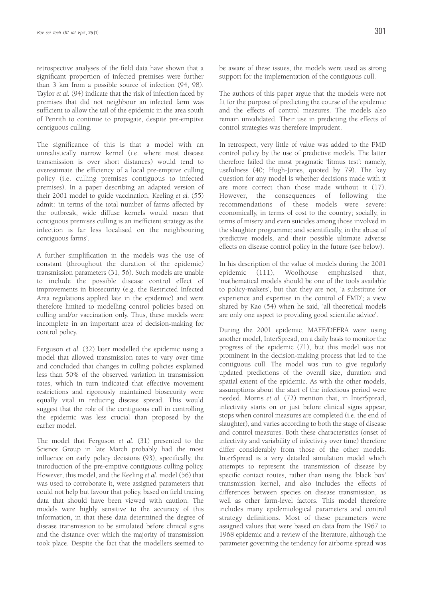retrospective analyses of the field data have shown that a significant proportion of infected premises were further than 3 km from a possible source of infection (94, 98). Taylor *et al.* (94) indicate that the risk of infection faced by premises that did not neighbour an infected farm was sufficient to allow the tail of the epidemic in the area south of Penrith to continue to propagate, despite pre-emptive contiguous culling.

The significance of this is that a model with an unrealistically narrow kernel (i.e. where most disease transmission is over short distances) would tend to overestimate the efficiency of a local pre-emptive culling policy (i.e. culling premises contiguous to infected premises). In a paper describing an adapted version of their 2001 model to guide vaccination, Keeling *et al.* (55) admit: 'in terms of the total number of farms affected by the outbreak, wide diffuse kernels would mean that contiguous premises culling is an inefficient strategy as the infection is far less localised on the neighbouring contiguous farms'.

A further simplification in the models was the use of constant (throughout the duration of the epidemic) transmission parameters (31, 56). Such models are unable to include the possible disease control effect of improvements in biosecurity (e.g. the Restricted Infected Area regulations applied late in the epidemic) and were therefore limited to modelling control policies based on culling and/or vaccination only. Thus, these models were incomplete in an important area of decision-making for control policy.

Ferguson *et al.* (32) later modelled the epidemic using a model that allowed transmission rates to vary over time and concluded that changes in culling policies explained less than 50% of the observed variation in transmission rates, which in turn indicated that effective movement restrictions and rigorously maintained biosecurity were equally vital in reducing disease spread. This would suggest that the role of the contiguous cull in controlling the epidemic was less crucial than proposed by the earlier model.

The model that Ferguson *et al.* (31) presented to the Science Group in late March probably had the most influence on early policy decisions (93), specifically, the introduction of the pre-emptive contiguous culling policy. However, this model, and the Keeling *et al.* model (56) that was used to corroborate it, were assigned parameters that could not help but favour that policy, based on field tracing data that should have been viewed with caution. The models were highly sensitive to the accuracy of this information, in that these data determined the degree of disease transmission to be simulated before clinical signs and the distance over which the majority of transmission took place. Despite the fact that the modellers seemed to be aware of these issues, the models were used as strong support for the implementation of the contiguous cull.

The authors of this paper argue that the models were not fit for the purpose of predicting the course of the epidemic and the effects of control measures. The models also remain unvalidated. Their use in predicting the effects of control strategies was therefore imprudent.

In retrospect, very little of value was added to the FMD control policy by the use of predictive models. The latter therefore failed the most pragmatic 'litmus test': namely, usefulness (40; Hugh-Jones, quoted by 79). The key question for any model is whether decisions made with it are more correct than those made without it (17). However, the consequences of following the recommendations of these models were severe: economically, in terms of cost to the country; socially, in terms of misery and even suicides among those involved in the slaughter programme; and scientifically, in the abuse of predictive models, and their possible ultimate adverse effects on disease control policy in the future (see below).

In his description of the value of models during the 2001 epidemic (111), Woolhouse emphasised that, 'mathematical models should be one of the tools available to policy-makers', but that they are not, 'a substitute for experience and expertise in the control of FMD'; a view shared by Kao (54) when he said, 'all theoretical models are only one aspect to providing good scientific advice'.

During the 2001 epidemic, MAFF/DEFRA were using another model, InterSpread, on a daily basis to monitor the progress of the epidemic (71), but this model was not prominent in the decision-making process that led to the contiguous cull. The model was run to give regularly updated predictions of the overall size, duration and spatial extent of the epidemic. As with the other models, assumptions about the start of the infectious period were needed. Morris *et al.* (72) mention that, in InterSpread, infectivity starts on or just before clinical signs appear, stops when control measures are completed (i.e. the end of slaughter), and varies according to both the stage of disease and control measures. Both these characteristics (onset of infectivity and variability of infectivity over time) therefore differ considerably from those of the other models. InterSpread is a very detailed simulation model which attempts to represent the transmission of disease by specific contact routes, rather than using the 'black box' transmission kernel, and also includes the effects of differences between species on disease transmission, as well as other farm-level factors. This model therefore includes many epidemiological parameters and control strategy definitions. Most of these parameters were assigned values that were based on data from the 1967 to 1968 epidemic and a review of the literature, although the parameter governing the tendency for airborne spread was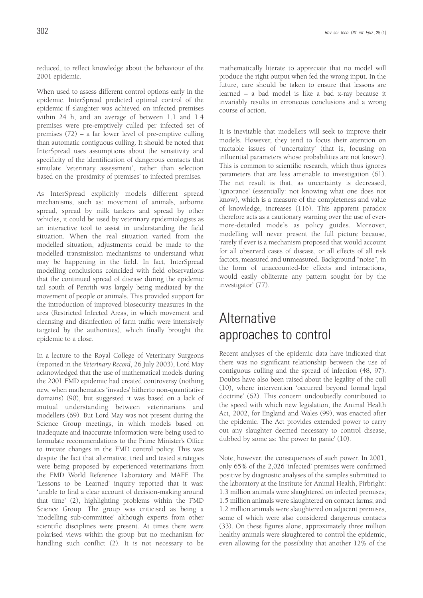reduced, to reflect knowledge about the behaviour of the 2001 epidemic.

When used to assess different control options early in the epidemic, InterSpread predicted optimal control of the epidemic if slaughter was achieved on infected premises within 24 h, and an average of between 1.1 and 1.4 premises were pre-emptively culled per infected set of premises (72) – a far lower level of pre-emptive culling than automatic contiguous culling. It should be noted that InterSpread uses assumptions about the sensitivity and specificity of the identification of dangerous contacts that simulate 'veterinary assessment', rather than selection based on the 'proximity of premises' to infected premises.

As InterSpread explicitly models different spread mechanisms, such as: movement of animals, airborne spread, spread by milk tankers and spread by other vehicles, it could be used by veterinary epidemiologists as an interactive tool to assist in understanding the field situation. When the real situation varied from the modelled situation, adjustments could be made to the modelled transmission mechanisms to understand what may be happening in the field. In fact, InterSpread modelling conclusions coincided with field observations that the continued spread of disease during the epidemic tail south of Penrith was largely being mediated by the movement of people or animals. This provided support for the introduction of improved biosecurity measures in the area (Restricted Infected Areas, in which movement and cleansing and disinfection of farm traffic were intensively targeted by the authorities), which finally brought the epidemic to a close.

In a lecture to the Royal College of Veterinary Surgeons (reported in the *Veterinary Record*, 26 July 2003), Lord May acknowledged that the use of mathematical models during the 2001 FMD epidemic had created controversy (nothing new, when mathematics 'invades' hitherto non-quantitative domains) (90), but suggested it was based on a lack of mutual understanding between veterinarians and modellers (69). But Lord May was not present during the Science Group meetings, in which models based on inadequate and inaccurate information were being used to formulate recommendations to the Prime Minister's Office to initiate changes in the FMD control policy. This was despite the fact that alternative, tried and tested strategies were being proposed by experienced veterinarians from the FMD World Reference Laboratory and MAFF. The 'Lessons to be Learned' inquiry reported that it was: 'unable to find a clear account of decision-making around that time' (2), highlighting problems within the FMD Science Group. The group was criticised as being a 'modelling sub-committee' although experts from other scientific disciplines were present. At times there were polarised views within the group but no mechanism for handling such conflict (2). It is not necessary to be

mathematically literate to appreciate that no model will produce the right output when fed the wrong input. In the future, care should be taken to ensure that lessons are learned – a bad model is like a bad x-ray because it invariably results in erroneous conclusions and a wrong course of action.

It is inevitable that modellers will seek to improve their models. However, they tend to focus their attention on tractable issues of 'uncertainty' (that is, focusing on influential parameters whose probabilities are not known). This is common to scientific research, which thus ignores parameters that are less amenable to investigation (61). The net result is that, as uncertainty is decreased, 'ignorance' (essentially: not knowing what one does not know), which is a measure of the completeness and value of knowledge, increases (116). This apparent paradox therefore acts as a cautionary warning over the use of evermore-detailed models as policy guides. Moreover, modelling will never present the full picture because, 'rarely if ever is a mechanism proposed that would account for all observed cases of disease, or all effects of all risk factors, measured and unmeasured. Background "noise", in the form of unaccounted-for effects and interactions, would easily obliterate any pattern sought for by the investigator' (77).

# **Alternative** approaches to control

Recent analyses of the epidemic data have indicated that there was no significant relationship between the use of contiguous culling and the spread of infection (48, 97). Doubts have also been raised about the legality of the cull (10), where intervention 'occurred beyond formal legal doctrine' (62). This concern undoubtedly contributed to the speed with which new legislation, the Animal Health Act, 2002, for England and Wales (99), was enacted after the epidemic. The Act provides extended power to carry out any slaughter deemed necessary to control disease, dubbed by some as: 'the power to panic' (10).

Note, however, the consequences of such power. In 2001, only 65% of the 2,026 'infected' premises were confirmed positive by diagnostic analyses of the samples submitted to the laboratory at the Institute for Animal Health, Pirbright: 1.3 million animals were slaughtered on infected premises; 1.5 million animals were slaughtered on contact farms; and 1.2 million animals were slaughtered on adjacent premises, some of which were also considered dangerous contacts (33). On these figures alone, approximately three million healthy animals were slaughtered to control the epidemic, even allowing for the possibility that another 12% of the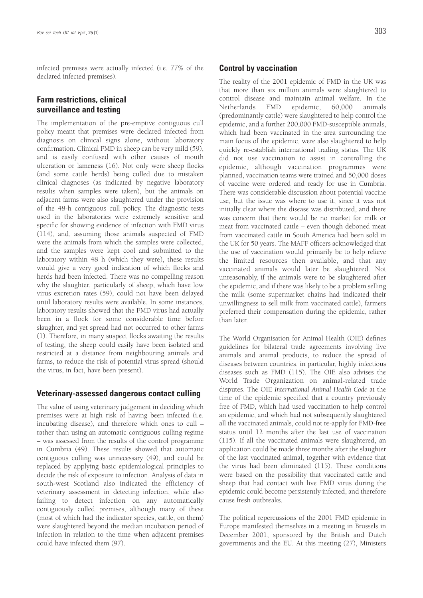infected premises were actually infected (i.e. 77% of the declared infected premises).

# **Farm restrictions, clinical surveillance and testing**

The implementation of the pre-emptive contiguous cull policy meant that premises were declared infected from diagnosis on clinical signs alone, without laboratory confirmation. Clinical FMD in sheep can be very mild (59), and is easily confused with other causes of mouth ulceration or lameness (16). Not only were sheep flocks (and some cattle herds) being culled due to mistaken clinical diagnoses (as indicated by negative laboratory results when samples were taken), but the animals on adjacent farms were also slaughtered under the provision of the 48-h contiguous cull policy. The diagnostic tests used in the laboratories were extremely sensitive and specific for showing evidence of infection with FMD virus (114), and, assuming those animals suspected of FMD were the animals from which the samples were collected, and the samples were kept cool and submitted to the laboratory within 48 h (which they were), these results would give a very good indication of which flocks and herds had been infected. There was no compelling reason why the slaughter, particularly of sheep, which have low virus excretion rates (59), could not have been delayed until laboratory results were available. In some instances, laboratory results showed that the FMD virus had actually been in a flock for some considerable time before slaughter, and yet spread had not occurred to other farms (1). Therefore, in many suspect flocks awaiting the results of testing, the sheep could easily have been isolated and restricted at a distance from neighbouring animals and farms, to reduce the risk of potential virus spread (should the virus, in fact, have been present).

### **Veterinary-assessed dangerous contact culling**

The value of using veterinary judgement in deciding which premises were at high risk of having been infected (i.e. incubating disease), and therefore which ones to cull – rather than using an automatic contiguous culling regime – was assessed from the results of the control programme in Cumbria (49). These results showed that automatic contiguous culling was unnecessary (49), and could be replaced by applying basic epidemiological principles to decide the risk of exposure to infection. Analysis of data in south-west Scotland also indicated the efficiency of veterinary assessment in detecting infection, while also failing to detect infection on any automatically contiguously culled premises, although many of these (most of which had the indicator species, cattle, on them) were slaughtered beyond the median incubation period of infection in relation to the time when adjacent premises could have infected them (97).

### **Control by vaccination**

The reality of the 2001 epidemic of FMD in the UK was that more than six million animals were slaughtered to control disease and maintain animal welfare. In the Netherlands FMD epidemic, 60,000 animals (predominantly cattle) were slaughtered to help control the epidemic, and a further 200,000 FMD-susceptible animals, which had been vaccinated in the area surrounding the main focus of the epidemic, were also slaughtered to help quickly re-establish international trading status. The UK did not use vaccination to assist in controlling the epidemic, although vaccination programmes were planned, vaccination teams were trained and 50,000 doses of vaccine were ordered and ready for use in Cumbria. There was considerable discussion about potential vaccine use, but the issue was where to use it, since it was not initially clear where the disease was distributed, and there was concern that there would be no market for milk or meat from vaccinated cattle – even though deboned meat from vaccinated cattle in South America had been sold in the UK for 50 years. The MAFF officers acknowledged that the use of vaccination would primarily be to help relieve the limited resources then available, and that any vaccinated animals would later be slaughtered. Not unreasonably, if the animals were to be slaughtered after the epidemic, and if there was likely to be a problem selling the milk (some supermarket chains had indicated their unwillingness to sell milk from vaccinated cattle), farmers preferred their compensation during the epidemic, rather than later.

The World Organisation for Animal Health (OIE) defines guidelines for bilateral trade agreements involving live animals and animal products, to reduce the spread of diseases between countries, in particular, highly infectious diseases such as FMD (115). The OIE also advises the World Trade Organization on animal-related trade disputes. The OIE *International Animal Health Code* at the time of the epidemic specified that a country previously free of FMD, which had used vaccination to help control an epidemic, and which had not subsequently slaughtered all the vaccinated animals, could not re-apply for FMD-free status until 12 months after the last use of vaccination (115). If all the vaccinated animals were slaughtered, an application could be made three months after the slaughter of the last vaccinated animal, together with evidence that the virus had been eliminated (115). These conditions were based on the possibility that vaccinated cattle and sheep that had contact with live FMD virus during the epidemic could become persistently infected, and therefore cause fresh outbreaks.

The political repercussions of the 2001 FMD epidemic in Europe manifested themselves in a meeting in Brussels in December 2001, sponsored by the British and Dutch governments and the EU. At this meeting (27), Ministers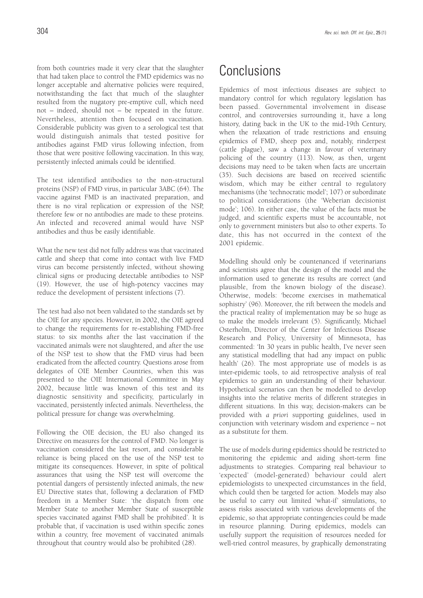from both countries made it very clear that the slaughter that had taken place to control the FMD epidemics was no longer acceptable and alternative policies were required, notwithstanding the fact that much of the slaughter resulted from the nugatory pre-emptive cull, which need not – indeed, should not – be repeated in the future. Nevertheless, attention then focused on vaccination. Considerable publicity was given to a serological test that would distinguish animals that tested positive for antibodies against FMD virus following infection, from those that were positive following vaccination. In this way, persistently infected animals could be identified.

The test identified antibodies to the non-structural proteins (NSP) of FMD virus, in particular 3ABC (64). The vaccine against FMD is an inactivated preparation, and there is no viral replication or expression of the NSP, therefore few or no antibodies are made to these proteins. An infected and recovered animal would have NSP antibodies and thus be easily identifiable.

What the new test did not fully address was that vaccinated cattle and sheep that come into contact with live FMD virus can become persistently infected, without showing clinical signs or producing detectable antibodies to NSP (19). However, the use of high-potency vaccines may reduce the development of persistent infections (7).

The test had also not been validated to the standards set by the OIE for any species. However, in 2002, the OIE agreed to change the requirements for re-establishing FMD-free status: to six months after the last vaccination if the vaccinated animals were not slaughtered, and after the use of the NSP test to show that the FMD virus had been eradicated from the affected country. Questions arose from delegates of OIE Member Countries, when this was presented to the OIE International Committee in May 2002, because little was known of this test and its diagnostic sensitivity and specificity, particularly in vaccinated, persistently infected animals. Nevertheless, the political pressure for change was overwhelming.

Following the OIE decision, the EU also changed its Directive on measures for the control of FMD. No longer is vaccination considered the last resort, and considerable reliance is being placed on the use of the NSP test to mitigate its consequences. However, in spite of political assurances that using the NSP test will overcome the potential dangers of persistently infected animals, the new EU Directive states that, following a declaration of FMD freedom in a Member State: 'the dispatch from one Member State to another Member State of susceptible species vaccinated against FMD shall be prohibited'. It is probable that, if vaccination is used within specific zones within a country, free movement of vaccinated animals throughout that country would also be prohibited (28).

# **Conclusions**

Epidemics of most infectious diseases are subject to mandatory control for which regulatory legislation has been passed. Governmental involvement in disease control, and controversies surrounding it, have a long history, dating back in the UK to the mid-19th Century, when the relaxation of trade restrictions and ensuing epidemics of FMD, sheep pox and, notably, rinderpest (cattle plague), saw a change in favour of veterinary policing of the country (113). Now, as then, urgent decisions may need to be taken when facts are uncertain (35). Such decisions are based on received scientific wisdom, which may be either central to regulatory mechanisms (the 'technocratic model'; 107) or subordinate to political considerations (the 'Weberian decisionist mode'; 106). In either case, the value of the facts must be judged, and scientific experts must be accountable, not only to government ministers but also to other experts. To date, this has not occurred in the context of the 2001 epidemic.

Modelling should only be countenanced if veterinarians and scientists agree that the design of the model and the information used to generate its results are correct (and plausible, from the known biology of the disease). Otherwise, models: 'become exercises in mathematical sophistry' (96). Moreover, the rift between the models and the practical reality of implementation may be so huge as to make the models irrelevant (5). Significantly, Michael Osterholm, Director of the Center for Infectious Disease Research and Policy, University of Minnesota, has commented: 'In 30 years in public health, I've never seen any statistical modelling that had any impact on public health' (26). The most appropriate use of models is as inter-epidemic tools, to aid retrospective analysis of real epidemics to gain an understanding of their behaviour. Hypothetical scenarios can then be modelled to develop insights into the relative merits of different strategies in different situations. In this way, decision-makers can be provided with *a priori* supporting guidelines, used in conjunction with veterinary wisdom and experience – not as a substitute for them.

The use of models during epidemics should be restricted to monitoring the epidemic and aiding short-term fine adjustments to strategies. Comparing real behaviour to 'expected' (model-generated) behaviour could alert epidemiologists to unexpected circumstances in the field, which could then be targeted for action. Models may also be useful to carry out limited 'what-if' simulations, to assess risks associated with various developments of the epidemic, so that appropriate contingencies could be made in resource planning. During epidemics, models can usefully support the requisition of resources needed for well-tried control measures, by graphically demonstrating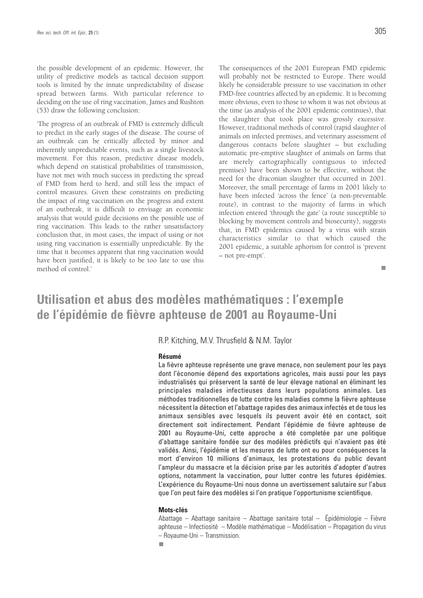the possible development of an epidemic. However, the utility of predictive models as tactical decision support tools is limited by the innate unpredictability of disease spread between farms. With particular reference to deciding on the use of ring vaccination, James and Rushton (53) draw the following conclusion:

'The progress of an outbreak of FMD is extremely difficult to predict in the early stages of the disease. The course of an outbreak can be critically affected by minor and inherently unpredictable events, such as a single livestock movement. For this reason, predictive disease models, which depend on statistical probabilities of transmission, have not met with much success in predicting the spread of FMD from herd to herd, and still less the impact of control measures. Given these constraints on predicting the impact of ring vaccination on the progress and extent of an outbreak, it is difficult to envisage an economic analysis that would guide decisions on the possible use of ring vaccination. This leads to the rather unsatisfactory conclusion that, in most cases, the impact of using or not using ring vaccination is essentially unpredictable. By the time that it becomes apparent that ring vaccination would have been justified, it is likely to be too late to use this method of control.'

The consequences of the 2001 European FMD epidemic will probably not be restricted to Europe. There would likely be considerable pressure to use vaccination in other FMD-free countries affected by an epidemic. It is becoming more obvious, even to those to whom it was not obvious at the time (as analysis of the 2001 epidemic continues), that the slaughter that took place was grossly excessive. However, traditional methods of control (rapid slaughter of animals on infected premises, and veterinary assessment of dangerous contacts before slaughter – but excluding automatic pre-emptive slaughter of animals on farms that are merely cartographically contiguous to infected premises) have been shown to be effective, without the need for the draconian slaughter that occurred in 2001. Moreover, the small percentage of farms in 2001 likely to have been infected 'across the fence' (a non-preventable route), in contrast to the majority of farms in which infection entered 'through the gate' (a route susceptible to blocking by movement controls and biosecurity), suggests that, in FMD epidemics caused by a virus with strain characteristics similar to that which caused the 2001 epidemic, a suitable aphorism for control is 'prevent – not pre-empt'.

#### $\mathbf{r}$

# **Utilisation et abus des modèles mathématiques : l'exemple de l'épidémie de fièvre aphteuse de 2001 au Royaume-Uni**

### R.P. Kitching, M.V. Thrusfield & N.M. Taylor

#### **Résumé**

La fièvre aphteuse représente une grave menace, non seulement pour les pays dont l'économie dépend des exportations agricoles, mais aussi pour les pays industrialisés qui préservent la santé de leur élevage national en éliminant les principales maladies infectieuses dans leurs populations animales. Les méthodes traditionnelles de lutte contre les maladies comme la fièvre aphteuse nécessitent la détection et l'abattage rapides des animaux infectés et de tous les animaux sensibles avec lesquels ils peuvent avoir été en contact, soit directement soit indirectement. Pendant l'épidémie de fièvre aphteuse de 2001 au Royaume-Uni, cette approche a été completée par une politique d'abattage sanitaire fondée sur des modèles prédictifs qui n'avaient pas été validés. Ainsi, l'épidémie et les mesures de lutte ont eu pour conséquences la mort d'environ 10 millions d'animaux, les protestations du public devant l'ampleur du massacre et la décision prise par les autorités d'adopter d'autres options, notamment la vaccination, pour lutter contre les futures épidémies. L'expérience du Royaume-Uni nous donne un avertissement salutaire sur l'abus que l'on peut faire des modèles si l'on pratique l'opportunisme scientifique.

#### **Mots-clés**

Abattage – Abattage sanitaire – Abattage sanitaire total – Épidémiologie – Fièvre aphteuse – Infectiosité – Modèle mathématique – Modélisation – Propagation du virus – Royaume-Uni – Transmission.

п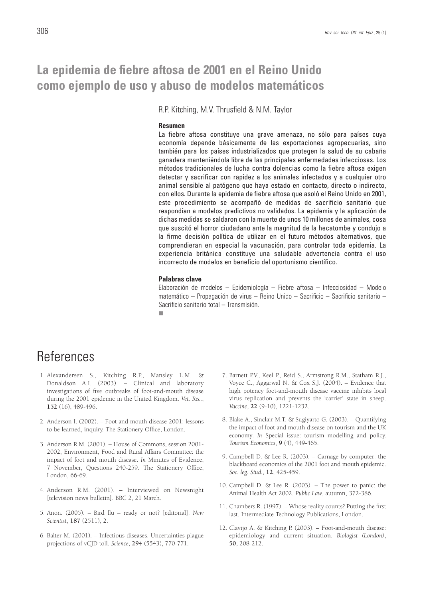# **La epidemia de fiebre aftosa de 2001 en el Reino Unido como ejemplo de uso y abuso de modelos matemáticos**

R.P. Kitching, M.V. Thrusfield & N.M. Taylor

#### **Resumen**

La fiebre aftosa constituye una grave amenaza, no sólo para países cuya economía depende básicamente de las exportaciones agropecuarias, sino también para los países industrializados que protegen la salud de su cabaña ganadera manteniéndola libre de las principales enfermedades infecciosas. Los métodos tradicionales de lucha contra dolencias como la fiebre aftosa exigen detectar y sacrificar con rapidez a los animales infectados y a cualquier otro animal sensible al patógeno que haya estado en contacto, directo o indirecto, con ellos. Durante la epidemia de fiebre aftosa que asoló el Reino Unido en 2001, este procedimiento se acompañó de medidas de sacrificio sanitario que respondían a modelos predictivos no validados. La epidemia y la aplicación de dichas medidas se saldaron con la muerte de unos 10 millones de animales, cosa que suscitó el horror ciudadano ante la magnitud de la hecatombe y condujo a la firme decisión política de utilizar en el futuro métodos alternativos, que comprendieran en especial la vacunación, para controlar toda epidemia. La experiencia británica constituye una saludable advertencia contra el uso incorrecto de modelos en beneficio del oportunismo científico.

### **Palabras clave**

Elaboración de modelos – Epidemiología – Fiebre aftosa – Infecciosidad – Modelo matemático – Propagación de virus – Reino Unido – Sacrificio – Sacrificio sanitario – Sacrificio sanitario total – Transmisión.

п

# **References**

- 1. Alexandersen S., Kitching R.P., Mansley L.M. & Donaldson A.I. (2003). – Clinical and laboratory investigations of five outbreaks of foot-and-mouth disease during the 2001 epidemic in the United Kingdom. *Vet. Rec.*, **152** (16), 489-496.
- 2. Anderson I. (2002). Foot and mouth disease 2001: lessons to be learned, inquiry. The Stationery Office, London.
- 3. Anderson R.M. (2001). House of Commons, session 2001- 2002, Environment, Food and Rural Affairs Committee: the impact of foot and mouth disease. *In* Minutes of Evidence, 7 November, Questions 240-259. The Stationery Office, London, 66-69.
- 4. Anderson R.M. (2001). Interviewed on Newsnight [television news bulletin]. BBC 2, 21 March.
- 5. Anon. (2005). Bird flu ready or not? [editorial]. *New Scientist*, **187** (2511), 2.
- 6. Balter M. (2001). Infectious diseases. Uncertainties plague projections of vCJD toll. *Science*, **294** (5543), 770-771.
- 7. Barnett P.V., Keel P., Reid S., Armstrong R.M., Statham R.J., Voyce C., Aggarwal N. & Cox S.J. (2004). – Evidence that high potency foot-and-mouth disease vaccine inhibits local virus replication and prevents the 'carrier' state in sheep. *Vaccine*, **22** (9-10), 1221-1232.
- 8. Blake A., Sinclair M.T. & Sugiyarto G. (2003). Quantifying the impact of foot and mouth disease on tourism and the UK economy*. In* Special issue: tourism modelling and policy. *Tourism Economics*, **9** (4), 449-465.
- 9. Campbell D. & Lee R. (2003). Carnage by computer: the blackboard economics of the 2001 foot and mouth epidemic. *Soc. leg. Stud.*, **12**, 425-459.
- 10. Campbell D. & Lee R. (2003). The power to panic: the Animal Health Act 2002. *Public Law*, autumn, 372-386.
- 11. Chambers R. (1997). Whose reality counts? Putting the first last. Intermediate Technology Publications, London.
- 12. Clavijo A. & Kitching P. (2003). Foot-and-mouth disease: epidemiology and current situation. *Biologist (London)*, **50**, 208-212.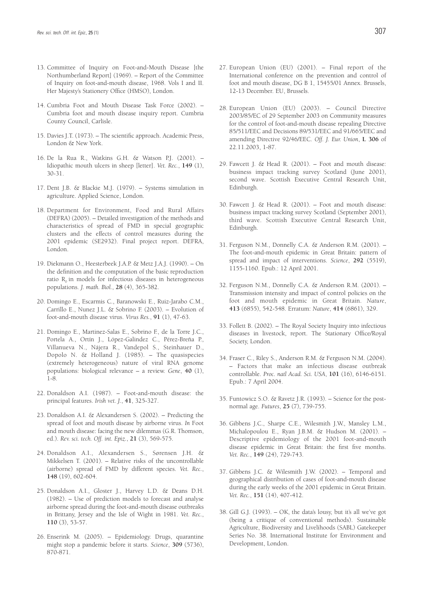- 13. Committee of Inquiry on Foot-and-Mouth Disease [the Northumberland Report] (1969). – Report of the Committee of Inquiry on foot-and-mouth disease, 1968. Vols I and II. Her Majesty's Stationery Office (HMSO), London.
- 14. Cumbria Foot and Mouth Disease Task Force (2002). Cumbria foot and mouth disease inquiry report. Cumbria County Council, Carlisle.
- 15. Davies J.T. (1973). The scientific approach. Academic Press, London & New York.
- 16. De la Rua R., Watkins G.H. & Watson P.J. (2001). Idiopathic mouth ulcers in sheep [letter]. *Vet. Rec.*, **149** (1), 30-31.
- 17. Dent J.B. & Blackie M.J. (1979). Systems simulation in agriculture. Applied Science, London.
- 18. Department for Environment, Food and Rural Affairs (DEFRA) (2005). – Detailed investigation of the methods and characteristics of spread of FMD in special geographic clusters and the effects of control measures during the 2001 epidemic (SE2932). Final project report. DEFRA, London.
- 19. Diekmann O., Heesterbeek J.A.P. & Metz J.A.J. (1990). On the definition and the computation of the basic reproduction ratio R<sub>0</sub> in models for infectious diseases in heterogeneous populations. *J. math. Biol.*, **28** (4), 365-382.
- 20. Domingo E., Escarmis C., Baranowski E., Ruiz-Jarabo C.M., Carrillo E., Nunez J.L. & Sobrino F. (2003). – Evolution of foot-and-mouth disease virus. *Virus Res.*, **91** (1), 47-63.
- 21. Domingo E., Martinez-Salas E., Sobrino F., de la Torre J.C., Portela A., Ortín J., López-Galindez C., Pérez-Breña P., Villanueva N., Nájera R., Vandepol S., Steinhauer D., Dopolo N. & Holland J. (1985). – The quasispecies (extremely heterogeneous) nature of viral RNA genome populations: biological relevance – a review. *Gene*, **40** (1), 1-8.
- 22. Donaldson A.I. (1987). Foot-and-mouth disease: the principal features. *Irish vet. J.*, **41**, 325-327.
- 23. Donaldson A.I. & Alexandersen S. (2002). Predicting the spread of foot and mouth disease by airborne virus. *In* Foot and mouth disease: facing the new dilemmas (G.R. Thomson, ed.). *Rev. sci. tech. Off. int. Epiz.*, **21** (3), 569-575.
- 24. Donaldson A.I., Alexandersen S., Sørensen J.H. & Mikkelsen T. (2001). – Relative risks of the uncontrollable (airborne) spread of FMD by different species. *Vet. Rec.*, **148** (19), 602-604.
- 25. Donaldson A.I., Gloster J., Harvey L.D. & Deans D.H. (1982). – Use of prediction models to forecast and analyse airborne spread during the foot-and-mouth disease outbreaks in Brittany, Jersey and the Isle of Wight in 1981. *Vet. Rec.*, **110** (3), 53-57.
- 26. Enserink M. (2005). Epidemiology. Drugs, quarantine might stop a pandemic before it starts. *Science*, **309** (5736), 870-871.
- 27. European Union (EU) (2001). Final report of the International conference on the prevention and control of foot and mouth disease, DG B 1, 15455/01 Annex. Brussels, 12-13 December. EU, Brussels.
- 28. European Union (EU) (2003). Council Directive 2003/85/EC of 29 September 2003 on Community measures for the control of foot-and-mouth disease repealing Directive 85/511/EEC and Decisions 89/531/EEC and 91/665/EEC and amending Directive 92/46/EEC. *Off. J. Eur. Union*, **L 306** of 22.11.2003, 1-87.
- 29. Fawcett J. & Head R. (2001). Foot and mouth disease: business impact tracking survey Scotland (June 2001), second wave. Scottish Executive Central Research Unit, Edinburgh.
- 30. Fawcett J. & Head R. (2001). Foot and mouth disease: business impact tracking survey Scotland (September 2001), third wave. Scottish Executive Central Research Unit, Edinburgh.
- 31. Ferguson N.M., Donnelly C.A. & Anderson R.M. (2001). The foot-and-mouth epidemic in Great Britain: pattern of spread and impact of interventions. *Science*, **292** (5519), 1155-1160. Epub.: 12 April 2001.
- 32. Ferguson N.M., Donnelly C.A. & Anderson R.M. (2001). Transmission intensity and impact of control policies on the foot and mouth epidemic in Great Britain. *Nature*, **413** (6855), 542-548. Erratum: *Nature*, **414** (6861), 329.
- 33. Follett B. (2002). The Royal Society Inquiry into infectious diseases in livestock, report. The Stationary Office/Royal Society, London.
- 34. Fraser C., Riley S., Anderson R.M. & Ferguson N.M. (2004). – Factors that make an infectious disease outbreak controllable. *Proc. natl Acad. Sci. USA*, **101** (16), 6146-6151. Epub.: 7 April 2004.
- 35. Funtowicz S.O. & Ravetz J.R. (1993). Science for the postnormal age. *Futures*, **25** (7), 739-755.
- 36. Gibbens J.C., Sharpe C.E., Wilesmith J.W., Mansley L.M., Michalopoulou E., Ryan J.B.M. & Hudson M. (2001). – Descriptive epidemiology of the 2001 foot-and-mouth disease epidemic in Great Britain: the first five months. *Vet. Rec.*, **149** (24), 729-743.
- 37. Gibbens J.C. & Wilesmith J.W. (2002). Temporal and geographical distribution of cases of foot-and-mouth disease during the early weeks of the 2001 epidemic in Great Britain. *Vet. Rec.*, **151** (14), 407-412.
- 38. Gill G.J. (1993). OK, the data's lousy, but it's all we've got (being a critique of conventional methods). Sustainable Agriculture, Biodiversity and Livelihoods (SABL) Gatekeeper Series No. 38. International Institute for Environment and Development, London.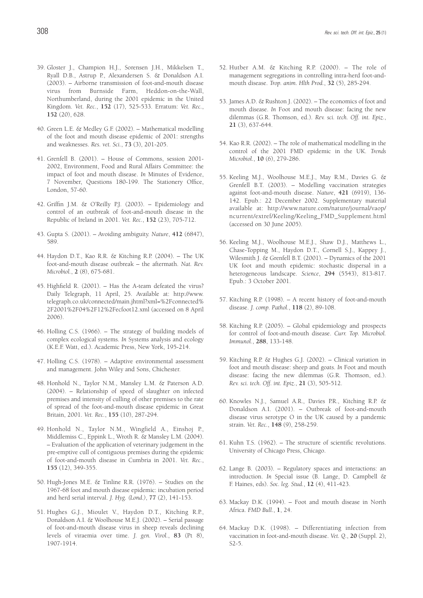- 39. Gloster J., Champion H.J., Sorensen J.H., Mikkelsen T., Ryall D.B., Astrup P., Alexandersen S. & Donaldson A.I. (2003). – Airborne transmission of foot-and-mouth disease virus from Burnside Farm, Heddon-on-the-Wall, Northumberland, during the 2001 epidemic in the United Kingdom. *Vet. Rec.*, **152** (17), 525-533. Erratum: *Vet. Rec.*, **152** (20), 628.
- 40. Green L.E. & Medley G.F. (2002). Mathematical modelling of the foot and mouth disease epidemic of 2001: strengths and weaknesses. *Res. vet. Sci.*, **73** (3), 201-205.
- 41. Grenfell B. (2001). House of Commons, session 2001- 2002, Environment, Food and Rural Affairs Committee: the impact of foot and mouth disease. *In* Minutes of Evidence, 7 November, Questions 180-199. The Stationery Office, London, 57-60.
- 42. Griffin J.M. & O'Reilly P.J. (2003). Epidemiology and control of an outbreak of foot-and-mouth disease in the Republic of Ireland in 2001. *Vet. Rec.*, **152** (23), 705-712.
- 43. Gupta S. (2001). Avoiding ambiguity. *Nature*, **412** (6847), 589.
- 44. Haydon D.T., Kao R.R. & Kitching R.P. (2004). The UK foot-and-mouth disease outbreak – the aftermath. *Nat. Rev. Microbiol.*, **2** (8), 675-681.
- 45. Highfield R. (2001). Has the A-team defeated the virus? Daily Telegraph, 11 April, 25. Available at: http://www. telegraph.co.uk/connected/main.jhtml?xml=%2Fconnected% 2F2001%2F04%2F12%2Fecfoot12.xml (accessed on 8 April 2006).
- 46. Holling C.S. (1966). The strategy of building models of complex ecological systems. *In* Systems analysis and ecology (K.E.F. Watt, ed.). Academic Press, New York, 195-214.
- 47. Holling C.S. (1978). Adaptive environmental assessment and management. John Wiley and Sons, Chichester.
- 48. Honhold N., Taylor N.M., Mansley L.M. & Paterson A.D. (2004). – Relationship of speed of slaughter on infected premises and intensity of culling of other premises to the rate of spread of the foot-and-mouth disease epidemic in Great Britain, 2001. *Vet. Rec.*, **155** (10), 287-294.
- 49. Honhold N., Taylor N.M., Wingfield A., Einshoj P., Middlemiss C., Eppink L., Wroth R. & Mansley L.M. (2004). – Evaluation of the application of veterinary judgement in the pre-emptive cull of contiguous premises during the epidemic of foot-and-mouth disease in Cumbria in 2001. *Vet. Rec.*, **155** (12), 349-355.
- 50. Hugh-Jones M.E. & Tinline R.R. (1976). Studies on the 1967-68 foot and mouth disease epidemic: incubation period and herd serial interval. *J. Hyg. (Lond.)*, **77** (2), 141-153.
- 51. Hughes G.J., Mioulet V., Haydon D.T., Kitching R.P., Donaldson A.I. & Woolhouse M.E.J. (2002). – Serial passage of foot-and-mouth disease virus in sheep reveals declining levels of viraemia over time. *J. gen. Virol.*, **83** (Pt 8), 1907-1914.
- 52. Hutber A.M. & Kitching R.P. (2000). The role of management segregations in controlling intra-herd foot-andmouth disease. *Trop. anim. Hlth Prod.*, **32** (5), 285-294.
- 53. James A.D. & Rushton J. (2002). The economics of foot and mouth disease. *In* Foot and mouth disease: facing the new dilemmas (G.R. Thomson, ed.). *Rev. sci. tech. Off. int. Epiz.*, **21** (3), 637-644.
- 54. Kao R.R. (2002). The role of mathematical modelling in the control of the 2001 FMD epidemic in the UK. *Trends Microbiol.*, **10** (6), 279-286.
- 55. Keeling M.J., Woolhouse M.E.J., May R.M., Davies G. & Grenfell B.T. (2003). – Modelling vaccination strategies against foot-and-mouth disease. *Nature*, **421** (6919), 136- 142. Epub.: 22 December 2002. Supplementary material available at: http://www.nature.com/nature/journal/vaop/ ncurrent/extref/Keeling/Keeling\_FMD\_Supplement.html (accessed on 30 June 2005).
- 56. Keeling M.J., Woolhouse M.E.J., Shaw D.J., Matthews L., Chase-Topping M., Haydon D.T., Cornell S.J., Kappey J., Wilesmith J. & Grenfell B.T. (2001). – Dynamics of the 2001 UK foot and mouth epidemic: stochastic dispersal in a heterogeneous landscape. *Science*, **294** (5543), 813-817. Epub.: 3 October 2001.
- 57. Kitching R.P. (1998). A recent history of foot-and-mouth disease. *J. comp. Pathol.*, **118** (2), 89-108.
- 58. Kitching R.P. (2005). Global epidemiology and prospects for control of foot-and-mouth disease. *Curr. Top. Microbiol. Immunol.*, **288**, 133-148.
- 59. Kitching R.P. & Hughes G.J. (2002). Clinical variation in foot and mouth disease: sheep and goats. *In* Foot and mouth disease: facing the new dilemmas (G.R. Thomson, ed.). *Rev. sci. tech. Off. int. Epiz.*, **21** (3), 505-512.
- 60. Knowles N.J., Samuel A.R., Davies P.R., Kitching R.P. & Donaldson A.I. (2001). – Outbreak of foot-and-mouth disease virus serotype O in the UK caused by a pandemic strain. *Vet. Rec.*, **148** (9), 258-259.
- 61. Kuhn T.S. (1962). The structure of scientific revolutions. University of Chicago Press, Chicago.
- 62. Lange B. (2003). Regulatory spaces and interactions: an introduction. *In* Special issue (B. Lange, D. Campbell & F. Haines, eds). *Soc. leg. Stud.*, **12** (4), 411-423.
- 63. Mackay D.K. (1994). Foot and mouth disease in North Africa. *FMD Bull.*, **1**, 24.
- 64. Mackay D.K. (1998). Differentiating infection from vaccination in foot-and-mouth disease. *Vet. Q.*, **20** (Suppl. 2), S2-5.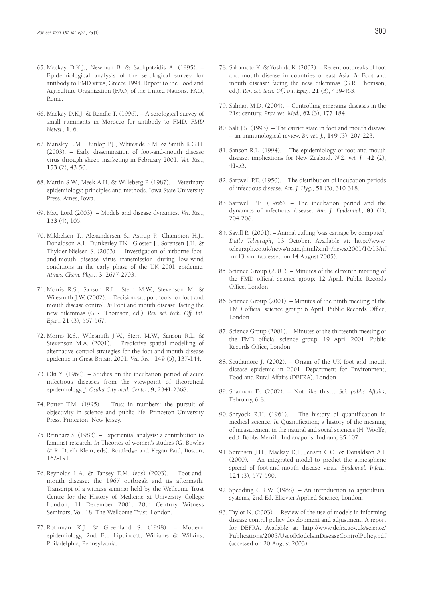- 65. Mackay D.K.J., Newman B. & Sachpatzidis A. (1995). Epidemiological analysis of the serological survey for antibody to FMD virus, Greece 1994. Report to the Food and Agriculture Organization (FAO) of the United Nations. FAO, Rome.
- 66. Mackay D.K.J. & Rendle T. (1996). A serological survey of small ruminants in Morocco for antibody to FMD. *FMD Newsl.,* **1**, 6.
- 67. Mansley L.M., Dunlop P.J., Whiteside S.M. & Smith R.G.H. (2003). – Early dissemination of foot-and-mouth disease virus through sheep marketing in February 2001. *Vet. Rec.*, **153** (2), 43-50.
- 68. Martin S.W., Meek A.H. & Willeberg P. (1987). Veterinary epidemiology: principles and methods. Iowa State University Press, Ames, Iowa.
- 69. May, Lord (2003). Models and disease dynamics. *Vet. Rec.*, **153** (4), 105.
- 70. Mikkelsen T., Alexandersen S., Astrup P., Champion H.J., Donaldson A.I., Dunkerley F.N., Gloster J., Sorensen J.H. & Thykier-Nielsen S. (2003). – Investigation of airborne footand-mouth disease virus transmission during low-wind conditions in the early phase of the UK 2001 epidemic. *Atmos. Chem. Phys.*, **3**, 2677-2703.
- 71. Morris R.S., Sanson R.L., Stern M.W., Stevenson M. & Wilesmith J.W. (2002). – Decision-support tools for foot and mouth disease control. *In* Foot and mouth disease: facing the new dilemmas (G.R. Thomson, ed.). *Rev. sci. tech. Off. int. Epiz.*, **21** (3), 557-567.
- 72. Morris R.S., Wilesmith J.W., Stern M.W., Sanson R.L. & Stevenson M.A. (2001). – Predictive spatial modelling of alternative control strategies for the foot-and-mouth disease epidemic in Great Britain 2001. *Vet. Rec.*, **149** (5), 137-144.
- 73. Oki Y. (1960). Studies on the incubation period of acute infectious diseases from the viewpoint of theoretical epidemiology. *J. Osaka City med. Center*, **9**, 2341-2368.
- 74. Porter T.M. (1995). Trust in numbers: the pursuit of objectivity in science and public life. Princeton University Press, Princeton, New Jersey.
- 75. Reinharz S. (1983). Experiential analysis: a contribution to feminist research. *In* Theories of women's studies (G. Bowles & R. Duelli Klein, eds). Routledge and Kegan Paul, Boston, 162-191.
- 76. Reynolds L.A. & Tansey E.M. (eds) (2003). Foot-andmouth disease: the 1967 outbreak and its aftermath. Transcript of a witness seminar held by the Wellcome Trust Centre for the History of Medicine at University College London, 11 December 2001. 20th Century Witness Seminars, Vol. 18. The Wellcome Trust, London.
- 77. Rothman K.J. & Greenland S. (1998). Modern epidemiology, 2nd Ed. Lippincott, Williams & Wilkins, Philadelphia, Pennsylvania.
- 78. Sakamoto K. & Yoshida K. (2002). Recent outbreaks of foot and mouth disease in countries of east Asia. *In* Foot and mouth disease: facing the new dilemmas (G.R. Thomson, ed.). *Rev. sci. tech. Off. int. Epiz.*, **21** (3), 459-463.
- 79. Salman M.D. (2004). Controlling emerging diseases in the 21st century. *Prev. vet. Med.*, **62** (3), 177-184.
- 80. Salt J.S. (1993). The carrier state in foot and mouth disease – an immunological review. *Br. vet. J.*, **149** (3), 207-223.
- 81. Sanson R.L. (1994). The epidemiology of foot-and-mouth disease: implications for New Zealand. *N.Z. vet. J.*, **42** (2), 41-53.
- 82. Sartwell P.E. (1950). The distribution of incubation periods of infectious disease. *Am. J. Hyg.*, **51** (3), 310-318.
- 83. Sartwell P.E. (1966). The incubation period and the dynamics of infectious disease. *Am. J. Epidemiol.,* **83** (2), 204-206.
- 84. Savill R. (2001). Animal culling 'was carnage by computer'. *Daily Telegraph*, 13 October. Available at: http://www. telegraph.co.uk/news/main.jhtml?xml=/news/2001/10/13/nf nm13.xml (accessed on 14 August 2005).
- 85. Science Group (2001). Minutes of the eleventh meeting of the FMD official science group: 12 April. Public Records Office, London.
- 86. Science Group (2001). Minutes of the ninth meeting of the FMD official science group: 6 April. Public Records Office, London.
- 87. Science Group (2001). Minutes of the thirteenth meeting of the FMD official science group: 19 April 2001. Public Records Office, London.
- 88. Scudamore J. (2002). Origin of the UK foot and mouth disease epidemic in 2001. Department for Environment, Food and Rural Affairs (DEFRA), London.
- 89. Shannon D. (2002). Not like this… *Sci. public Affairs*, February, 6-8.
- 90. Shryock R.H. (1961). The history of quantification in medical science. *In* Quantification; a history of the meaning of measurement in the natural and social sciences (H. Woolfe, ed.). Bobbs-Merrill, Indianapolis, Indiana, 85-107.
- 91. Sørensen J.H., Mackay D.J., Jensen C.O. & Donaldson A.I. (2000). – An integrated model to predict the atmospheric spread of foot-and-mouth disease virus. *Epidemiol. Infect.*, **124** (3), 577-590.
- 92. Spedding C.R.W. (1988). An introduction to agricultural systems, 2nd Ed. Elsevier Applied Science, London.
- 93. Taylor N. (2003). Review of the use of models in informing disease control policy development and adjustment. A report for DEFRA. Available at: http://www.defra.gov.uk/science/ Publications/2003/UseofModelsinDiseaseControlPolicy.pdf (accessed on 20 August 2003).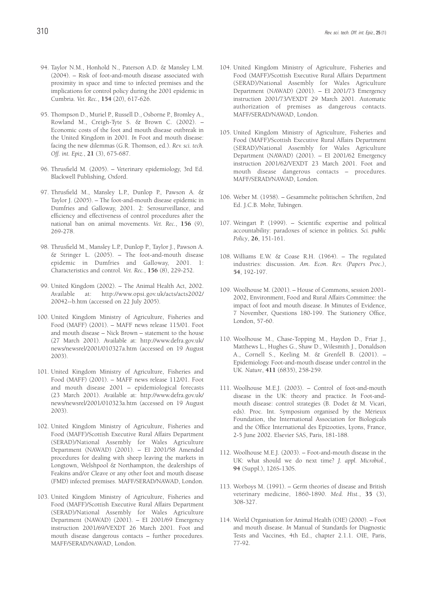- 94. Taylor N.M., Honhold N., Paterson A.D. & Mansley L.M. (2004). – Risk of foot-and-mouth disease associated with proximity in space and time to infected premises and the implications for control policy during the 2001 epidemic in Cumbria. *Vet. Rec.*, **154** (20), 617-626.
- 95. Thompson D., Muriel P., Russell D., Osborne P., Bromley A., Rowland M., Creigh-Tyte S. & Brown C. (2002). – Economic costs of the foot and mouth disease outbreak in the United Kingdom in 2001. *In* Foot and mouth disease: facing the new dilemmas (G.R. Thomson, ed.). *Rev. sci. tech. Off. int. Epiz.*, **21** (3), 675-687.
- 96. Thrusfield M. (2005). Veterinary epidemiology, 3rd Ed. Blackwell Publishing, Oxford.
- 97. Thrusfield M., Mansley L.P., Dunlop P., Pawson A. & Taylor J. (2005). – The foot-and-mouth disease epidemic in Dumfries and Galloway, 2001. 2: Serosurveillance, and efficiency and effectiveness of control procedures after the national ban on animal movements. *Vet. Rec.*, **156** (9), 269-278.
- 98. Thrusfield M., Mansley L.P., Dunlop P., Taylor J., Pawson A. & Stringer L. (2005). – The foot-and-mouth disease epidemic in Dumfries and Galloway, 2001. 1: Characteristics and control. *Vet. Rec.*, **156** (8), 229-252.
- 99. United Kingdom (2002). The Animal Health Act, 2002. Available at: http://www.opsi.gov.uk/acts/acts2002/ 20042--b.htm (accessed on 22 July 2005).
- 100. United Kingdom Ministry of Agriculture, Fisheries and Food (MAFF) (2001). – MAFF news release 115/01. Foot and mouth disease – Nick Brown – statement to the house (27 March 2001). Available at: http://www.defra.gov.uk/ news/newsrel/2001/010327a.htm (accessed on 19 August 2003).
- 101. United Kingdom Ministry of Agriculture, Fisheries and Food (MAFF) (2001). – MAFF news release 112/01. Foot and mouth disease 2001 – epidemiological forecasts (23 March 2001). Available at: http://www.defra.gov.uk/ news/newsrel/2001/010323a.htm (accessed on 19 August 2003).
- 102. United Kingdom Ministry of Agriculture, Fisheries and Food (MAFF)/Scottish Executive Rural Affairs Department (SERAD)/National Assembly for Wales Agriculture Department (NAWAD) (2001). – EI 2001/58 Amended procedures for dealing with sheep leaving the markets in Longtown, Welshpool & Northampton, the dealerships of Feakins and/or Cleave or any other foot and mouth disease (FMD) infected premises. MAFF/SERAD/NAWAD, London.
- 103. United Kingdom Ministry of Agriculture, Fisheries and Food (MAFF)/Scottish Executive Rural Affairs Department (SERAD)/National Assembly for Wales Agriculture Department (NAWAD) (2001). – EI 2001/69 Emergency instruction 2001/69/VEXDT 26 March 2001. Foot and mouth disease dangerous contacts – further procedures. MAFF/SERAD/NAWAD, London.
- 104. United Kingdom Ministry of Agriculture, Fisheries and Food (MAFF)/Scottish Executive Rural Affairs Department (SERAD)/National Assembly for Wales Agriculture Department (NAWAD) (2001). – EI 2001/73 Emergency instruction 2001/73/VEXDT 29 March 2001. Automatic authorization of premises as dangerous contacts. MAFF/SERAD/NAWAD, London.
- 105. United Kingdom Ministry of Agriculture, Fisheries and Food (MAFF)/Scottish Executive Rural Affairs Department (SERAD)/National Assembly for Wales Agriculture Department (NAWAD) (2001). – EI 2001/62 Emergency instruction 2001/62/VEXDT 23 March 2001. Foot and mouth disease dangerous contacts – procedures. MAFF/SERAD/NAWAD, London.
- 106. Weber M. (1958). Gesammelte politischen Schriften, 2nd Ed. J.C.B. Mohr, Tubingen.
- 107. Weingart P. (1999). Scientific expertise and political accountability: paradoxes of science in politics. *Sci. public Policy*, **26**, 151-161.
- 108. Williams E.W. & Coase R.H. (1964). The regulated industries: discussion. *Am. Econ. Rev. (Papers Proc.)*, **54**, 192-197.
- 109. Woolhouse M. (2001). House of Commons, session 2001- 2002, Environment, Food and Rural Affairs Committee: the impact of foot and mouth disease. *In* Minutes of Evidence, 7 November, Questions 180-199. The Stationery Office, London, 57-60.
- 110. Woolhouse M., Chase-Topping M., Haydon D., Friar J., Matthews L., Hughes G., Shaw D., Wilesmith J., Donaldson A., Cornell S., Keeling M. & Grenfell B. (2001). – Epidemiology. Foot-and-mouth disease under control in the UK. *Nature*, **411** (6835), 258-259.
- 111. Woolhouse M.E.J. (2003). Control of foot-and-mouth disease in the UK: theory and practice. *In* Foot-andmouth disease: control strategies (B. Dodet & M. Vicari, eds). Proc. Int. Symposium organised by the Mérieux Foundation, the International Association for Biologicals and the Office International des Epizooties, Lyons, France, 2-5 June 2002. Elsevier SAS, Paris, 181-188.
- 112. Woolhouse M.E.J. (2003). Foot-and-mouth disease in the UK: what should we do next time? *J. appl. Microbiol.*, **94** (Suppl.), 126S-130S.
- 113. Worboys M. (1991). Germ theories of disease and British veterinary medicine, 1860-1890. *Med. Hist.*, **35** (3), 308-327.
- 114. World Organisation for Animal Health (OIE) (2000). Foot and mouth disease. *In* Manual of Standards for Diagnostic Tests and Vaccines, 4th Ed., chapter 2.1.1. OIE, Paris, 77-92.